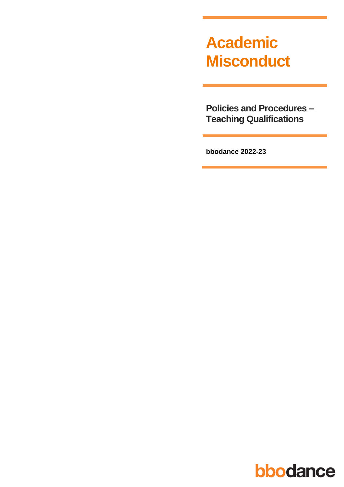# **Academic Misconduct**

**Policies and Procedures – Teaching Qualifications**

**bbodance 2022-23**

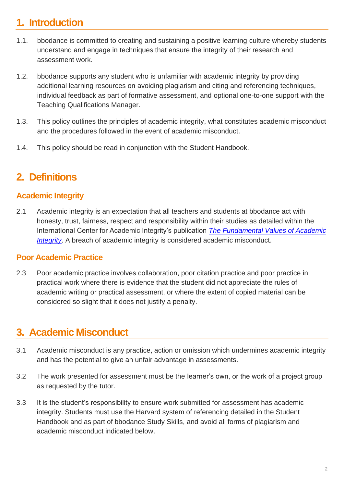# **1. Introduction**

- 1.1. bbodance is committed to creating and sustaining a positive learning culture whereby students understand and engage in techniques that ensure the integrity of their research and assessment work.
- 1.2. bbodance supports any student who is unfamiliar with academic integrity by providing additional learning resources on avoiding plagiarism and citing and referencing techniques, individual feedback as part of formative assessment, and optional one-to-one support with the Teaching Qualifications Manager.
- 1.3. This policy outlines the principles of academic integrity, what constitutes academic misconduct and the procedures followed in the event of academic misconduct.
- 1.4. This policy should be read in conjunction with the Student Handbook.

# **2. Definitions**

## **Academic Integrity**

2.1 Academic integrity is an expectation that all teachers and students at bbodance act with honesty, trust, fairness, respect and responsibility within their studies as detailed within the International Center for Academic Integrity's publication *[The Fundamental Values of Academic](https://academicintegrity.org/fundamental-values/)  [Integrity](https://academicintegrity.org/fundamental-values/)*. A breach of academic integrity is considered academic misconduct.

### **Poor Academic Practice**

2.3 Poor academic practice involves collaboration, poor citation practice and poor practice in practical work where there is evidence that the student did not appreciate the rules of academic writing or practical assessment, or where the extent of copied material can be considered so slight that it does not justify a penalty.

# **3. Academic Misconduct**

- 3.1 Academic misconduct is any practice, action or omission which undermines academic integrity and has the potential to give an unfair advantage in assessments.
- 3.2 The work presented for assessment must be the learner's own, or the work of a project group as requested by the tutor.
- 3.3 It is the student's responsibility to ensure work submitted for assessment has academic integrity. Students must use the Harvard system of referencing detailed in the Student Handbook and as part of bbodance Study Skills, and avoid all forms of plagiarism and academic misconduct indicated below.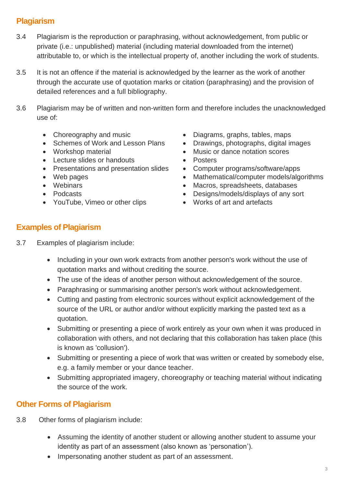## **Plagiarism**

- 3.4 Plagiarism is the reproduction or paraphrasing, without acknowledgement, from public or private (i.e.: unpublished) material (including material downloaded from the internet) attributable to, or which is the intellectual property of, another including the work of students.
- 3.5 It is not an offence if the material is acknowledged by the learner as the work of another through the accurate use of quotation marks or citation (paraphrasing) and the provision of detailed references and a full bibliography.
- 3.6 Plagiarism may be of written and non-written form and therefore includes the unacknowledged use of:
	-
	-
	-
	- Lecture slides or handouts Posters
	- Presentations and presentation slides Computer programs/software/apps
	-
	-
	-
	- YouTube, Vimeo or other clips Works of art and artefacts
- Choreography and music Diagrams, graphs, tables, maps
- Schemes of Work and Lesson Plans Drawings, photographs, digital images
- Workshop material Music or dance notation scores
	-
	-
- Web pages Mathematical/computer models/algorithms
- Webinars Webinars Macros, spreadsheets, databases
- Podcasts Designs/models/displays of any sort
	-

## **Examples of Plagiarism**

- 3.7 Examples of plagiarism include:
	- Including in your own work extracts from another person's work without the use of quotation marks and without crediting the source.
	- The use of the ideas of another person without acknowledgement of the source.
	- Paraphrasing or summarising another person's work without acknowledgement.
	- Cutting and pasting from electronic sources without explicit acknowledgement of the source of the URL or author and/or without explicitly marking the pasted text as a quotation.
	- Submitting or presenting a piece of work entirely as your own when it was produced in collaboration with others, and not declaring that this collaboration has taken place (this is known as 'collusion').
	- Submitting or presenting a piece of work that was written or created by somebody else, e.g. a family member or your dance teacher.
	- Submitting appropriated imagery, choreography or teaching material without indicating the source of the work.

## **Other Forms of Plagiarism**

- 3.8 Other forms of plagiarism include:
	- Assuming the identity of another student or allowing another student to assume your identity as part of an assessment (also known as 'personation').
	- Impersonating another student as part of an assessment.